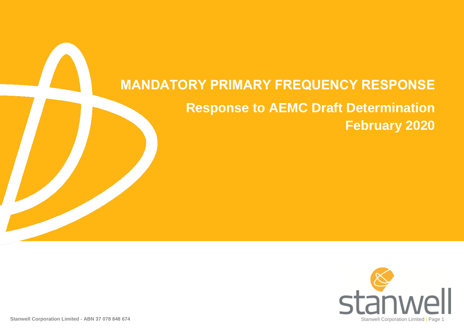# **MANDATORY PRIMARY FREQUENCY RESPONSE Response to AEMC Draft Determination February 2020**

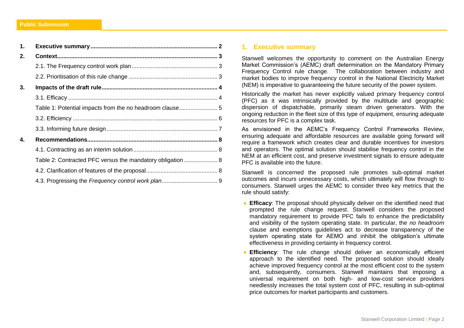| 1. |                                                            |
|----|------------------------------------------------------------|
| 2. |                                                            |
|    |                                                            |
|    |                                                            |
| 3. |                                                            |
|    |                                                            |
|    | Table 1: Potential impacts from the no headroom clause5    |
|    |                                                            |
|    |                                                            |
| 4. |                                                            |
|    |                                                            |
|    | Table 2: Contracted PFC versus the mandatory obligation  8 |
|    |                                                            |
|    |                                                            |

# <span id="page-1-0"></span>**1. Executive summary**

Stanwell welcomes the opportunity to comment on the Australian Energy Market Commission's (AEMC) draft determination on the Mandatory Primary Frequency Control rule change. The collaboration between industry and market bodies to improve frequency control in the National Electricity Market (NEM) is imperative to guaranteeing the future security of the power system.

Historically the market has never explicitly valued primary frequency control (PFC) as it was intrinsically provided by the multitude and geographic dispersion of dispatchable, primarily steam driven generators. With the ongoing reduction in the fleet size of this type of equipment, ensuring adequate resources for PFC is a complex task.

As envisioned in the AEMC's Frequency Control Frameworks Review, ensuring adequate and affordable resources are available going forward will require a framework which creates clear and durable incentives for investors and operators. The optimal solution should stabilise frequency control in the NEM at an efficient cost, and preserve investment signals to ensure adequate PFC is available into the future.

Stanwell is concerned the proposed rule promotes sub-optimal market outcomes and incurs unnecessary costs, which ultimately will flow through to consumers. Stanwell urges the AEMC to consider three key metrics that the rule should satisfy:

- **Efficacy**: The proposal should physically deliver on the identified need that prompted the rule change request. Stanwell considers the proposed mandatory requirement to provide PFC fails to enhance the predictability and visibility of the system operating state. In particular, the *no headroom* clause and exemptions guidelines act to decrease transparency of the system operating state for AEMO and inhibit the obligation's ultimate effectiveness in providing certainty in frequency control.
- **Efficiency**: The rule change should deliver an economically efficient approach to the identified need. The proposed solution should ideally achieve improved frequency control at the most efficient cost to the system and, subsequently, consumers. Stanwell maintains that imposing a universal requirement on both high- and low-cost service providers needlessly increases the total system cost of PFC, resulting in sub-optimal price outcomes for market participants and customers.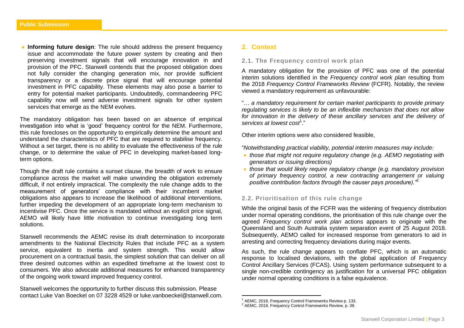**Informing future design:** The rule should address the present frequency issue and accommodate the future power system by creating and then preserving investment signals that will encourage innovation in and provision of the PFC. Stanwell contends that the proposed obligation does not fully consider the changing generation mix, nor provide sufficient transparency or a discrete price signal that will encourage potential investment in PFC capability. These elements may also pose a barrier to entry for potential market participants. Undoubtedly, commandeering PFC capability now will send adverse investment signals for other system services that emerge as the NEM evolves.

The mandatory obligation has been based on an absence of empirical investigation into what is 'good' frequency control for the NEM. Furthermore, this rule forecloses on the opportunity to empirically determine the amount and understand the characteristics of PFC that are required to stabilise frequency. Without a set target, there is no ability to evaluate the effectiveness of the rule change, or to determine the value of PFC in developing market-based longterm options.

Though the draft rule contains a sunset clause, the breadth of work to ensure compliance across the market will make unwinding the obligation extremely difficult, if not entirely impractical. The complexity the rule change adds to the measurement of generators' compliance with their incumbent market obligations also appears to increase the likelihood of additional interventions, further impeding the development of an appropriate long-term mechanism to incentivise PFC. Once the service is mandated without an explicit price signal, AEMO will likely have little motivation to continue investigating long term solutions.

Stanwell recommends the AEMC revise its draft determination to incorporate amendments to the National Electricity Rules that include PFC as a system service, equivalent to inertia and system strength. This would allow procurement on a contractual basis, the simplest solution that can deliver on all three desired outcomes within an expedited timeframe at the lowest cost to consumers. We also advocate additional measures for enhanced transparency of the ongoing work toward improved frequency control.

Stanwell welcomes the opportunity to further discuss this submission. Please contact Luke Van Boeckel on 07 3228 4529 or luke.vanboeckel@stanwell.com.

# <span id="page-2-0"></span>**2. Context**

## <span id="page-2-1"></span>**2.1. The Frequency control work plan**

A mandatory obligation for the provision of PFC was one of the potential interim solutions identified in the *Frequency control work plan* resulting from the 2018 *Frequency Control Frameworks Review* (FCFR). Notably, the review viewed a mandatory requirement as unfavourable:

"… *a mandatory requirement for certain market participants to provide primary regulating services is likely to be an inflexible mechanism that does not allow*  for innovation in the delivery of these ancillary services and the delivery of *services at lowest cost*<sup>1</sup> ."

Other interim options were also considered feasible,

"*Notwithstanding practical viability, potential interim measures may include:* 

- *those that might not require regulatory change (e.g. AEMO negotiating with generators or issuing directions)*
- *those that would likely require regulatory change (e.g. mandatory provision of primary frequency control, a new contracting arrangement or valuing positive contribution factors through the causer pays procedure)."*<sup>2</sup>

# <span id="page-2-2"></span>**2.2. Prioritisation of this rule change**

While the original basis of the FCFR was the widening of frequency distribution under normal operating conditions, the prioritisation of this rule change over the agreed *Frequency control work plan* actions appears to originate with the Queensland and South Australia system separation event of 25 August 2018. Subsequently, AEMO called for increased response from generators to aid in arresting and correcting frequency deviations during major events.

As such, the rule change appears to conflate PFC, which is an automatic response to localised deviations, with the global application of Frequency Control Ancillary Services (FCAS). Using system performance subsequent to a single non-credible contingency as justification for a universal PFC obligation under normal operating conditions is a false equivalence.

<sup>&</sup>lt;sup>1</sup> AEMC, 2018, Frequency Control Frameworks Review p. 133.

<sup>2</sup> AEMC, 2018, Frequency Control Frameworks Review, p. 38.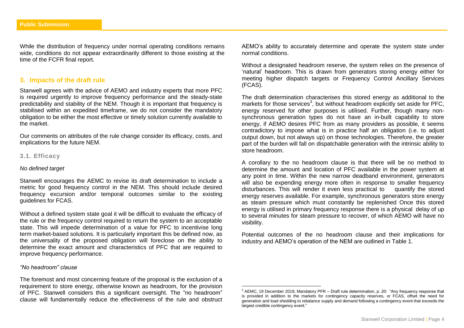While the distribution of frequency under normal operating conditions remains wide, conditions do not appear extraordinarily different to those existing at the time of the FCFR final report.

# <span id="page-3-0"></span>**3. Impacts of the draft rule**

Stanwell agrees with the advice of AEMO and industry experts that more PFC is required urgently to improve frequency performance and the steady-state predictability and stability of the NEM. Though it is important that frequency is stabilised within an expedited timeframe, we do not consider the mandatory obligation to be either the most effective or timely solution currently available to the market.

Our comments on attributes of the rule change consider its efficacy, costs, and implications for the future NEM.

## <span id="page-3-1"></span>**3.1. Efficacy**

#### *No defined target*

Stanwell encourages the AEMC to revise its draft determination to include a metric for good frequency control in the NEM. This should include desired frequency excursion and/or temporal outcomes similar to the existing guidelines for FCAS.

Without a defined system state goal it will be difficult to evaluate the efficacy of the rule or the frequency control required to return the system to an acceptable state. This will impede determination of a value for PFC to incentivise long term market-based solutions. It is particularly important this be defined now, as the universality of the proposed obligation will foreclose on the ability to determine the exact amount and characteristics of PFC that are required to improve frequency performance.

#### *"No headroom" clause*

The foremost and most concerning feature of the proposal is the exclusion of a requirement to store energy, otherwise known as headroom, for the provision of PFC. Stanwell considers this a significant oversight. The "no headroom" clause will fundamentally reduce the effectiveness of the rule and obstruct AEMO's ability to accurately determine and operate the system state under normal conditions.

Without a designated headroom reserve, the system relies on the presence of 'natural' headroom. This is drawn from generators storing energy either for meeting higher dispatch targets or Frequency Control Ancillary Services (FCAS).

The draft determination characterises this stored energy as additional to the markets for those services<sup>3</sup>, but without headroom explicitly set aside for PFC, energy reserved for other purposes is utilised. Further, though many nonsynchronous generation types do not have an in-built capability to store energy, if AEMO desires PFC from as many providers as possible, it seems contradictory to impose what is in practice half an obligation (i.e. to adjust output down, but not always up) on those technologies. Therefore, the greater part of the burden will fall on dispatchable generation with the intrinsic ability to store headroom.

A corollary to the no headroom clause is that there will be no method to determine the amount and location of PFC available in the power system at any point in time. Within the new narrow deadband environment, generators will also be expending energy more often in response to smaller frequency disturbances. This will render it even less practical to quantify the stored energy reserves available. For example, synchronous generators store energy as steam pressure which must constantly be replenished Once this stored energy is utilised in primary frequency response there is a physical delay of up to several minutes for steam pressure to recover, of which AEMO will have no visibility.

Potential outcomes of the no headroom clause and their implications for industry and AEMO's operation of the NEM are outlined in Table 1.

<sup>3</sup> AEMC, 19 December 2019, Mandatory PFR – Draft rule determination, p. 20: "Any frequency response that is provided in addition to the markets for contingency capacity reserves, or FCAS, offset the need for generation and load shedding to rebalance supply and demand following a contingency event that exceeds the largest credible contingency event."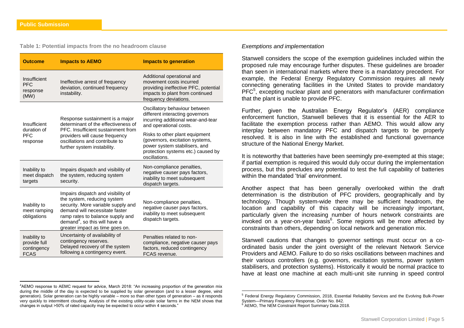$\overline{\phantom{a}}$ 

#### <span id="page-4-0"></span>**Table 1: Potential impacts from the no headroom clause**

| <b>Outcome</b>                                             | <b>Impacts to AEMO</b>                                                                                                                                                                                                                                        | <b>Impacts to generation</b>                                                                                                                              |
|------------------------------------------------------------|---------------------------------------------------------------------------------------------------------------------------------------------------------------------------------------------------------------------------------------------------------------|-----------------------------------------------------------------------------------------------------------------------------------------------------------|
| Insufficient<br><b>PFC</b><br>response<br>(MW)             | Ineffective arrest of frequency<br>deviation, continued frequency<br>instability.                                                                                                                                                                             | Additional operational and<br>movement costs incurred<br>providing ineffective PFC, potential<br>impacts to plant from continued<br>frequency deviations. |
| Insufficient<br>duration of                                | Response sustainment is a major<br>determinant of the effectiveness of                                                                                                                                                                                        | Oscillatory behaviour between<br>different interacting governors<br>incurring additional wear-and-tear<br>and operational costs.                          |
| <b>PFC</b><br>response                                     | PFC. Insufficient sustainment from<br>providers will cause frequency<br>oscillations and contribute to<br>further system instability.                                                                                                                         | Risks to other plant equipment<br>(governors, excitation systems,<br>power system stabilisers, and<br>protection systems etc.) caused by<br>oscillations. |
| Inability to<br>meet dispatch<br>targets                   | Impairs dispatch and visibility of<br>the system, reducing system<br>security.                                                                                                                                                                                | Non-compliance penalties,<br>negative causer pays factors,<br>inability to meet subsequent<br>dispatch targets.                                           |
| Inability to<br>meet ramping<br>obligations                | Impairs dispatch and visibility of<br>the system, reducing system<br>security. More variable supply and<br>demand will necessitate faster<br>ramp rates to balance supply and<br>demand <sup>4</sup> , so this will have a<br>greater impact as time goes on. | Non-compliance penalties,<br>negative causer pays factors,<br>inability to meet subsequent<br>dispatch targets.                                           |
| Inability to<br>provide full<br>contingency<br><b>FCAS</b> | Uncertainty of availability of<br>contingency reserves.<br>Delayed recovery of the system<br>following a contingency event.                                                                                                                                   | Penalties related to non-<br>compliance, negative causer pays<br>factors, reduced contingency<br>FCAS revenue.                                            |

### *Exemptions and implementation*

Stanwell considers the scope of the exemption guidelines included within the proposed rule may encourage further disputes. These guidelines are broader than seen in international markets where there is a mandatory precedent. For example, the Federal Energy Regulatory Commission requires all newly connecting generating facilities in the United States to provide mandatory PFC<sup>5</sup>, excepting nuclear plant and generators with manufacturer confirmation that the plant is unable to provide PFC.

Further, given the Australian Energy Regulator's (AER) compliance enforcement function, Stanwell believes that it is essential for the AER to facilitate the exemption process rather than AEMO. This would allow any interplay between mandatory PFC and dispatch targets to be properly resolved. It is also in line with the established and functional governance structure of the National Energy Market.

It is noteworthy that batteries have been seemingly pre-exempted at this stage; if partial exemption is required this would duly occur during the implementation process, but this precludes any potential to test the full capability of batteries within the mandated 'trial' environment

Another aspect that has been generally overlooked within the draft determination is the distribution of PFC providers, geographically and by technology. Though system-wide there may be sufficient headroom, the location and capability of this capacity will be increasingly important, particularly given the increasing number of hours network constraints are invoked on a year-on-year basis<sup>6</sup>. Some regions will be more affected by constraints than others, depending on local network and generation mix.

Stanwell cautions that changes to governor settings must occur on a coordinated basis under the joint oversight of the relevant Network Service Providers and AEMO. Failure to do so risks oscillations between machines and their various controllers (e.g. governors, excitation systems, power system stabilisers, and protection systems). Historically it would be normal practice to have at least one machine at each multi-unit site running in speed control

<sup>4</sup>AEMO response to AEMC request for advice, March 2018: "An increasing proportion of the generation mix during the middle of the day is expected to be supplied by solar generation (and to a lesser degree, wind generation). Solar generation can be highly variable – more so than other types of generation – as it responds very quickly to intermittent clouding. Analysis of the existing utility-scale solar farms in the NEM shows that changes in output >50% of rated capacity may be expected to occur within 4 seconds."

<sup>&</sup>lt;sup>5</sup> Federal Energy Regulatory Commission, 2018, Essential Reliability Services and the Evolving Bulk-Power System—Primary Frequency Response, Order No. 842.

<sup>&</sup>lt;sup>6</sup> AEMO, The NEM Constraint Report Summary Data 2018.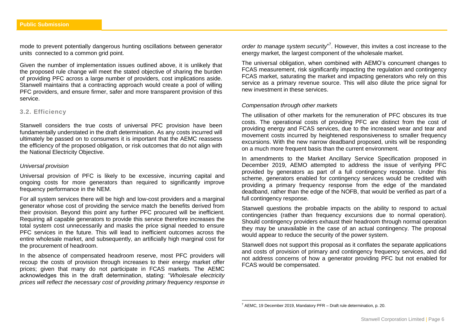mode to prevent potentially dangerous hunting oscillations between generator units connected to a common grid point.

Given the number of implementation issues outlined above, it is unlikely that the proposed rule change will meet the stated objective of sharing the burden of providing PFC across a large number of providers, cost implications aside. Stanwell maintains that a contracting approach would create a pool of willing PFC providers, and ensure firmer, safer and more transparent provision of this service.

## <span id="page-5-0"></span>**3.2. Efficiency**

Stanwell considers the true costs of universal PFC provision have been fundamentally understated in the draft determination. As any costs incurred will ultimately be passed on to consumers it is important that the AEMC reassess the efficiency of the proposed obligation, or risk outcomes that do not align with the National Electricity Objective.

## *Universal provision*

Universal provision of PFC is likely to be excessive, incurring capital and ongoing costs for more generators than required to significantly improve frequency performance in the NEM.

For all system services there will be high and low-cost providers and a marginal generator whose cost of providing the service match the benefits derived from their provision. Beyond this point any further PFC procured will be inefficient. Requiring all capable generators to provide this service therefore increases the total system cost unnecessarily and masks the price signal needed to ensure PFC services in the future. This will lead to inefficient outcomes across the entire wholesale market, and subsequently, an artificially high marginal cost for the procurement of headroom.

In the absence of compensated headroom reserve, most PFC providers will recoup the costs of provision through increases to their energy market offer prices; given that many do not participate in FCAS markets. The AEMC acknowledges this in the draft determination, stating: "*Wholesale electricity prices will reflect the necessary cost of providing primary frequency response in* 

order to manage system security<sup>"</sup>. However, this invites a cost increase to the energy market, the largest component of the wholesale market.

The universal obligation, when combined with AEMO's concurrent changes to FCAS measurement, risk significantly impacting the regulation and contingency FCAS market, saturating the market and impacting generators who rely on this service as a primary revenue source. This will also dilute the price signal for new investment in these services.

#### *Compensation through other markets*

The utilisation of other markets for the remuneration of PFC obscures its true costs. The operational costs of providing PFC are distinct from the cost of providing energy and FCAS services, due to the increased wear and tear and movement costs incurred by heightened responsiveness to smaller frequency excursions. With the new narrow deadband proposed, units will be responding on a much more frequent basis than the current environment.

In amendments to the Market Ancillary Service Specification proposed in December 2019, AEMO attempted to address the issue of verifying PFC provided by generators as part of a full contingency response. Under this scheme, generators enabled for contingency services would be credited with providing a primary frequency response from the edge of the mandated deadband, rather than the edge of the NOFB, that would be verified as part of a full contingency response.

Stanwell questions the probable impacts on the ability to respond to actual contingencies (rather than frequency excursions due to normal operation). Should contingency providers exhaust their headroom through normal operation they may be unavailable in the case of an actual contingency. The proposal would appear to reduce the security of the power system.

Stanwell does not support this proposal as it conflates the separate applications and costs of provision of primary and contingency frequency services, and did not address concerns of how a generator providing PFC but not enabled for FCAS would be compensated.

 $7$  AEMC, 19 December 2019, Mandatory PFR – Draft rule determination, p. 20.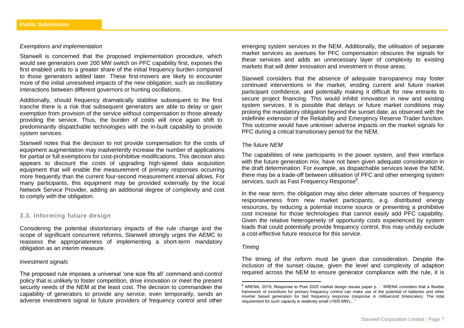#### *Exemptions and implementation*

Stanwell is concerned that the proposed implementation procedure, which would see generators over 200 MW switch on PFC capability first, exposes the first enabled units to a greater share of the initial frequency burden compared to those generators added later. These first-movers are likely to encounter more of the initial unresolved impacts of the new obligation, such as oscillatory interactions between different governors or hunting oscillations.

Additionally, should frequency dramatically stabilise subsequent to the first tranche there is a risk that subsequent generators are able to delay or gain exemption from provision of the service without compensation to those already providing the service. Thus, the burden of costs will once again shift to predominantly dispatchable technologies with the in-built capability to provide system services.

Stanwell notes that the decision to not provide compensation for the costs of equipment augmentation may inadvertently increase the number of applications for partial or full exemptions for cost-prohibitive modifications. This decision also appears to discount the costs of upgrading high-speed data acquisition equipment that will enable the measurement of primary responses occurring more frequently than the current four-second measurement interval allows. For many participants, this equipment may be provided externally by the local Network Service Provider, adding an additional degree of complexity and cost to comply with the obligation.

# <span id="page-6-0"></span>**3.3. Informing future design**

Considering the potential distortionary impacts of the rule change and the scope of significant concurrent reforms. Stanwell strongly urges the AEMC to reassess the appropriateness of implementing a short-term mandatory obligation as an interim measure.

#### *Investment signals*

The proposed rule imposes a universal 'one size fits all' command-and-control policy that is unlikely to foster competition, drive innovation or meet the present security needs of the NEM at the least cost. The decision to commandeer the capability of generators to provide any service, even temporarily, sends an adverse investment signal to future providers of frequency control and other

emerging system services in the NEM. Additionally, the utilisation of separate market services as avenues for PFC compensation obscures the signals for these services and adds an unnecessary layer of complexity to existing markets that will deter innovation and investment in those areas.

Stanwell considers that the absence of adequate transparency may foster continued interventions in the market, eroding current and future market participant confidence, and potentially making it difficult for new entrants to secure project financing. This would inhibit innovation in new and existing system services. It is possible that delays or future market conditions may prolong the mandatory obligation beyond the sunset date, as observed with the indefinite extension of the Reliability and Emergency Reserve Trader function. This outcome would have unknown adverse impacts on the market signals for PFC during a critical transitionary period for the NEM.

## *The future NEM*

The capabilities of new participants in the power system, and their interface with the future generation mix, have not been given adequate consideration in the draft determination. For example, as dispatchable services leave the NEM, there may be a trade-off between utilisation of PFC and other emerging system services, such as Fast Frequency Response<sup>8</sup>.

In the near term, the obligation may also deter alternate sources of frequency responsiveness from new market participants, e.g. distributed energy resources, by reducing a potential income source or presenting a prohibitive cost increase for those technologies that cannot easily add PFC capability. Given the relative heterogeneity of opportunity costs experienced by system loads that could potentially provide frequency control, this may unduly exclude a cost-effective future resource for this service.

#### *Timing*

 $\overline{\phantom{a}}$ 

The timing of the reform must be given due consideration. Despite the inclusion of the sunset clause, given the level and complexity of adaption required across the NEM to ensure generator compliance with the rule, it is

<sup>&</sup>lt;sup>8</sup> ARENA, 2019, Response to Post 2025 market design issues paper p. : "ARENA considers that a flexible framework of incentives for primary frequency control can make use of the potential of batteries and other inverter based generation for fast frequency response (response in millisecond timescales). The total requirement for such capacity is relatively small (<500 MW)... "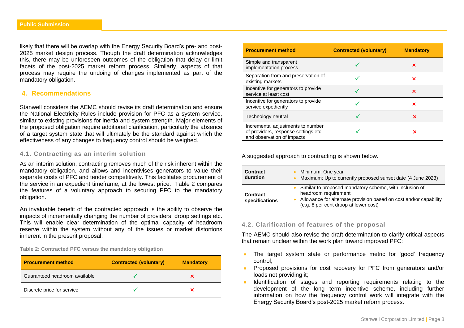likely that there will be overlap with the Energy Security Board's pre- and post-2025 market design process. Though the draft determination acknowledges this, there may be unforeseen outcomes of the obligation that delay or limit facets of the post-2025 market reform process. Similarly, aspects of that process may require the undoing of changes implemented as part of the mandatory obligation.

# <span id="page-7-0"></span>**4. Recommendations**

Stanwell considers the AEMC should revise its draft determination and ensure the National Electricity Rules include provision for PFC as a system service, similar to existing provisions for inertia and system strength. Major elements of the proposed obligation require additional clarification, particularly the absence of a target system state that will ultimately be the standard against which the effectiveness of any changes to frequency control should be weighed.

# <span id="page-7-1"></span>**4.1. Contracting as an interim solution**

As an interim solution, contracting removes much of the risk inherent within the mandatory obligation, and allows and incentivises generators to value their separate costs of PFC and tender competitively. This facilitates procurement of the service in an expedient timeframe, at the lowest price. Table 2 compares the features of a voluntary approach to securing PFC to the mandatory obligation.

An invaluable benefit of the contracted approach is the ability to observe the impacts of incrementally changing the number of providers, droop settings etc. This will enable clear determination of the optimal capacity of headroom reserve within the system without any of the issues or market distortions inherent in the present proposal.

<span id="page-7-2"></span>**Table 2: Contracted PFC versus the mandatory obligation**

| <b>Procurement method</b>     | <b>Contracted (voluntary)</b> | <b>Mandatory</b> |
|-------------------------------|-------------------------------|------------------|
| Guaranteed headroom available |                               |                  |
| Discrete price for service    |                               |                  |

| <b>Procurement method</b>                                                                               | <b>Contracted (voluntary)</b> | <b>Mandatory</b> |
|---------------------------------------------------------------------------------------------------------|-------------------------------|------------------|
| Simple and transparent<br>implementation process                                                        |                               | ×                |
| Separation from and preservation of<br>existing markets                                                 |                               | ×                |
| Incentive for generators to provide<br>service at least cost                                            |                               | ×                |
| Incentive for generators to provide<br>service expediently                                              |                               | ×                |
| Technology neutral                                                                                      |                               | ×                |
| Incremental adjustments to number<br>of providers, response settings etc.<br>and observation of impacts |                               | ×                |

A suggested approach to contracting is shown below.

| <b>Contract</b>                   | Minimum: One year                                                                                                                                                                               |
|-----------------------------------|-------------------------------------------------------------------------------------------------------------------------------------------------------------------------------------------------|
| duration                          | Maximum: Up to currently proposed sunset date (4 June 2023)                                                                                                                                     |
| <b>Contract</b><br>specifications | • Similar to proposed mandatory scheme, with inclusion of<br>headroom requirement<br>Allowance for alternate provision based on cost and/or capability<br>(e.g. 8 per cent droop at lower cost) |

## <span id="page-7-3"></span>**4.2. Clarification of features of the proposal**

The AEMC should also revise the draft determination to clarify critical aspects that remain unclear within the work plan toward improved PFC:

- The target system state or performance metric for 'good' frequency control;
- Proposed provisions for cost recovery for PFC from generators and/or loads not providing it;
- Identification of stages and reporting requirements relating to the development of the long term incentive scheme, including further information on how the frequency control work will integrate with the Energy Security Board's post-2025 market reform process.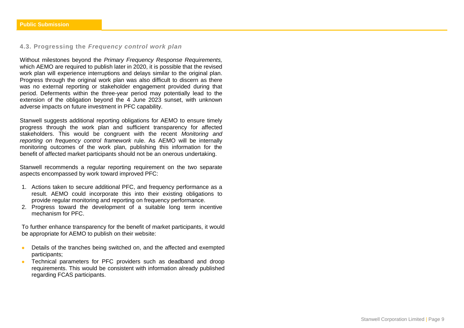# <span id="page-8-0"></span>**4.3. Progressing the** *Frequency control work plan*

Without milestones beyond the *Primary Frequency Response Requirements,*  which AEMO are required to publish later in 2020, it is possible that the revised work plan will experience interruptions and delays similar to the original plan. Progress through the original work plan was also difficult to discern as there was no external reporting or stakeholder engagement provided during that period. Deferments within the three-year period may potentially lead to the extension of the obligation beyond the 4 June 2023 sunset, with unknown adverse impacts on future investment in PFC capability.

Stanwell suggests additional reporting obligations for AEMO to ensure timely progress through the work plan and sufficient transparency for affected stakeholders. This would be congruent with the recent *Monitoring and reporting on frequency control framework* rule. As AEMO will be internally monitoring outcomes of the work plan, publishing this information for the benefit of affected market participants should not be an onerous undertaking.

Stanwell recommends a regular reporting requirement on the two separate aspects encompassed by work toward improved PFC:

- 1. Actions taken to secure additional PFC, and frequency performance as a result. AEMO could incorporate this into their existing obligations to provide regular monitoring and reporting on frequency performance.
- 2. Progress toward the development of a suitable long term incentive mechanism for PFC.

To further enhance transparency for the benefit of market participants, it would be appropriate for AEMO to publish on their website:

- **•** Details of the tranches being switched on, and the affected and exempted participants;
- Technical parameters for PFC providers such as deadband and droop requirements. This would be consistent with information already published regarding FCAS participants.